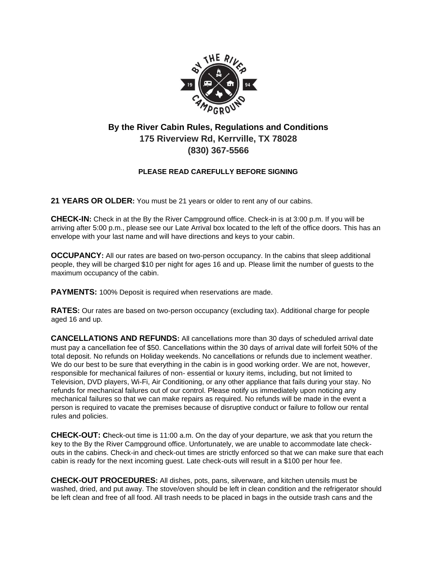

## **By the River Cabin Rules, Regulations and Conditions 175 Riverview Rd, Kerrville, TX 78028 (830) 367-5566**

## **PLEASE READ CAREFULLY BEFORE SIGNING**

**21 YEARS OR OLDER:** You must be 21 years or older to rent any of our cabins.

**CHECK-IN:** Check in at the By the River Campground office. Check-in is at 3:00 p.m. If you will be arriving after 5:00 p.m., please see our Late Arrival box located to the left of the office doors. This has an envelope with your last name and will have directions and keys to your cabin.

**OCCUPANCY:** All our rates are based on two-person occupancy. In the cabins that sleep additional people, they will be charged \$10 per night for ages 16 and up. Please limit the number of guests to the maximum occupancy of the cabin.

**PAYMENTS:** 100% Deposit is required when reservations are made.

**RATES:** Our rates are based on two-person occupancy (excluding tax). Additional charge for people aged 16 and up.

**CANCELLATIONS AND REFUNDS:** All cancellations more than 30 days of scheduled arrival date must pay a cancellation fee of \$50. Cancellations within the 30 days of arrival date will forfeit 50% of the total deposit. No refunds on Holiday weekends. No cancellations or refunds due to inclement weather. We do our best to be sure that everything in the cabin is in good working order. We are not, however, responsible for mechanical failures of non- essential or luxury items, including, but not limited to Television, DVD players, Wi-Fi, Air Conditioning, or any other appliance that fails during your stay. No refunds for mechanical failures out of our control. Please notify us immediately upon noticing any mechanical failures so that we can make repairs as required. No refunds will be made in the event a person is required to vacate the premises because of disruptive conduct or failure to follow our rental rules and policies.

**CHECK-OUT: C**heck-out time is 11:00 a.m. On the day of your departure, we ask that you return the key to the By the River Campground office. Unfortunately, we are unable to accommodate late checkouts in the cabins. Check-in and check-out times are strictly enforced so that we can make sure that each cabin is ready for the next incoming guest. Late check-outs will result in a \$100 per hour fee.

**CHECK-OUT PROCEDURES:** All dishes, pots, pans, silverware, and kitchen utensils must be washed, dried, and put away. The stove/oven should be left in clean condition and the refrigerator should be left clean and free of all food. All trash needs to be placed in bags in the outside trash cans and the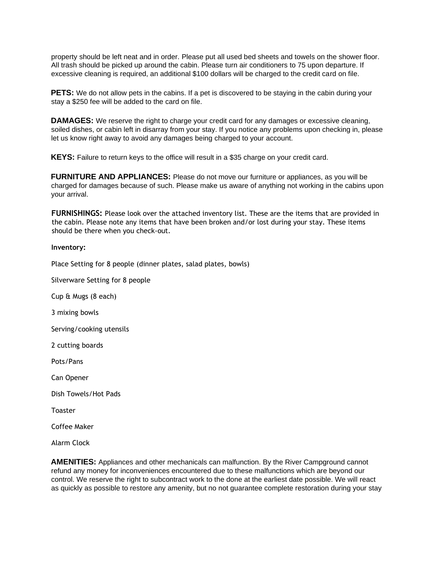property should be left neat and in order. Please put all used bed sheets and towels on the shower floor. All trash should be picked up around the cabin. Please turn air conditioners to 75 upon departure. If excessive cleaning is required, an additional \$100 dollars will be charged to the credit card on file.

**PETS:** We do not allow pets in the cabins. If a pet is discovered to be staying in the cabin during your stay a \$250 fee will be added to the card on file.

**DAMAGES:** We reserve the right to charge your credit card for any damages or excessive cleaning, soiled dishes, or cabin left in disarray from your stay. If you notice any problems upon checking in, please let us know right away to avoid any damages being charged to your account.

**KEYS:** Failure to return keys to the office will result in a \$35 charge on your credit card.

**FURNITURE AND APPLIANCES:** Please do not move our furniture or appliances, as you will be charged for damages because of such. Please make us aware of anything not working in the cabins upon your arrival.

**FURNISHINGS:** Please look over the attached inventory list. These are the items that are provided in the cabin. Please note any items that have been broken and/or lost during your stay. These items should be there when you check-out.

## **Inventory:**

Place Setting for 8 people (dinner plates, salad plates, bowls)

Silverware Setting for 8 people

Cup & Mugs (8 each)

3 mixing bowls

Serving/cooking utensils

2 cutting boards

Pots/Pans

Can Opener

Dish Towels/Hot Pads

Toaster

Coffee Maker

Alarm Clock

**AMENITIES:** Appliances and other mechanicals can malfunction. By the River Campground cannot refund any money for inconveniences encountered due to these malfunctions which are beyond our control. We reserve the right to subcontract work to the done at the earliest date possible. We will react as quickly as possible to restore any amenity, but no not guarantee complete restoration during your stay